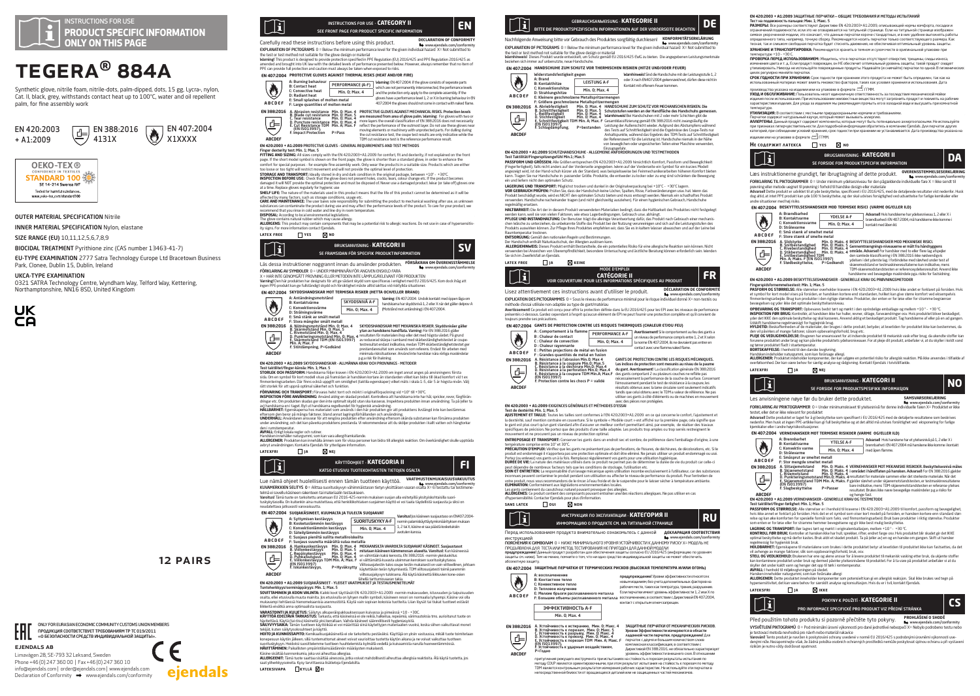

# TEGERA® 884A

Synthetic glove, nitrile foam, nitrile-dots, palm-dipped, dots, 15 gg, Lycra®, nylon, Cat. II, black, grey, withstands contact heat up to 100°C, water and oil repellent palm, for fine assembly work





## OUTER MATERIAL SPECIFICATION Nitrile

INNER MATERIAL SPECIFICATION Nylon, elastane

SIZE RANGE (EU) 10,11,12,5,6,7,8,9

EU-TYPE EXAMINATION 2777 Satra Technology Europe Ltd Bracetown Business

0321 SATRA Technology Centre, Wyndham Way, Telford Way, Kettering, Northamptonshire, NN16 8SD, United Kingdom



BIOCIDAL TREATMENT Pyrithione zinc (CAS number 13463-41-7)

Park, Clonee, Dublin 15, Dublin, Ireland UKCA-TYPE EXAMINATION



ejendals ab

ENL.

Limavägen 28, SE-793 32 Leksand, Sweden Phone +46 (0) 247 360 00 | Fax +46 (0) 247 360 10 info@ejendals.com | order@ejendals.com | www.ejendals.com  $Declaration of Conformity \rightarrow www.eipendals.com/conformity$ 

ONLY FOR EURASIAN ECONOMIC COMMUNITY CUSTOMS UNION MEMBERS ПРОДУКЦИЯ СООТВЕТСТВУЕТ ТРЕБОВАНИЯМ ТР ТС 019/2011 «О БЕЗОПАСНОСТИ СРЕДСТВ ИНДИВИДУАЛЬНОЙ ЗАЩИТЫ».



Carefully read these instructions before using this product. **DECLARATION OF CONFORMITY EXPLANATION OF PICTOGRAMS.**  $0 = \text{Role}$  the minimum performance level for the given individual bazard,  $X = \text{Not without the formula}$ 

EXPLANA MON OF PK LODGAPHS O I - Below the minimum performance level for the given individual hazard X - Not submitted to<br>The test of test method not suitable for the glove disalger of material<br>winninger and boogler into U

## **EN 407:2004 PROTECTIVE GLOVES AGAINST THERMAL RISKS (HEAT AND/OR FIRE)**



**EN 4202003 + ALZOOD PROTECTIVE COUVES - GENEROL REQUIREMENTS AND THET METHOLOGY.**<br>**FITURE AND SIZING THE STATE AND SERVE AT A CONSULTANT AND SERVE AT A CONSULTANT AND CONSULTANT AND SIZING A TH<br>PITURE AND SIZING THE STATE** 

**STORAGE AND TRANSPORT:** Ideally stored in dry and dark condition in the original package, between +10º - +30ºC.

**INSPECTION BEFORE USE:** Check that the glove does not present holes, cracks, tears, colour change etc. If the product becomes<br>damaged it will NOT provide the optimal protection and must be disposed of. Never use a damaged

**SNEK LIFE:** The nature of the materials used in this product means that the life of this product carnot be obtenined as it will be<br>affected by many factors, such as storage conditions, usage etcr submitting the product to

**DISPOSAL:** According to local environmental legislations.<br>The glove contains natural rubber which may cause allergy.<br>**ALLERGENS:** This product may contain components that may be a potential risk to allergic reactions. Do ity signs. For more information contact Ejendals.

## **latex free yes no** BRUKSANVISNING - **KATEGORI II SV**

Ίi SE FRAMSIDAN FÖR SPECIFIK PRODUKTINFORMATION

### Läs dessa instruktioner noggrannt innan du använder produkten. **FÖRSÄKRAN OM ÖVERENSSTÄMMELSE** www.ejendals.com/conformity FÖRKLARING AV SYMBOLER 0 = UNDER MINIMINIVÅN FÖR ANGIVEN ENSKILD FARA

X = HAR INTE GENOMGÅTT PROVNING ELLER METODEN INTE LÄMPLIG/RELEVANT FÖR PRODUKTEN **Varning!** Den här produkten har designats för att ge sådant skydd som specificeras i enlighet med EU 2016/425. Kom dock ihåg att<br>Ingen PPE-produkt kan ge fullständigt skydd och försiktighet måste alltid iakttas vid riskfy

**EN 407:2004 SKYDDSHANDSKAR MOT TERMISKA RISKER (HETTA OCH/ELLER BRAND)**



**ABCDEF**

D: Strainingsvarme<br>
E: Smit stänk av smält metall<br>
F: Smit stänk av smält metall<br>
B. Skärmbeständ Min, O; Max, 5<br>
B. Närmbeständ Min, O; Max, 5<br>
C. Rivmotständ Min, O; Max, 5<br>
C. Rivmotständ Min, O; Max, 5<br>
C. Rivmotständ D. Punkteringsmotstånd Min. 0; Max. 4 E. Skärmotstånd TDM (EN ISO13997) F. Stötdämpning, P=Godkänd resultaten för materialen ihop eller det med högsta värdet. På grund<br>av reducerad skärpa i samband med skärbeständighetstestet är crupe-<br>testresultat endast indikativa, medan TDM-skärbeständighetstestet ger<br>prestandaresult

minimala risksituationer. Använd inte handskar nära rörliga maskindelar p.g.a risk för ihakning. **EN 420:2003 + A1:2009** SKYDDSHANDSKAR - ALLMÄNNA KRAV OCH PROVNINGS - METODER

Varoitus! Jos käsineen suojaustaso on EN407:2004- normin palamiskäyttäytymismäärityksen mukaan 1, 2 tai X, käsine ei saa päästä kosketuksiin avotulen kanssa.

SKYDDSNIVÅ A-F Varning: EN 407:2004: Undvik kontakt med öppen låga om handskarna har skyddsnivå 1, 2 eller X när det gäller delprov A Min. 0; Max. 4 (Motstånd mot antändning) i EN 407:2004.

## EN 420:2003 + A1:2009 SKYDDSHANDSK<br>Test taktilitet/finger-känsla: Min. 1; Max. 5<br>STORLEK OCH PASSFORM: Handskarna följ

T**EST taktilitet/Tinger-kansla: Min. 1; Max. 5**<br>**STORLEK OCH PASSFORM:** Handskarna följer kraven i EN 420:2003+A1:2009 om inget annat anges på anvisningens första<br>sida Om en symbol för kort modell visas på framsidan är ban sida. Om en symbol för kort modell visas på framsidan är handsken kortare än standarden vilket kan bidra till ökad komfort vid t ex<br>finmonteringsarbeten. Där finns också uppgift om smidighet (taktila egenskaper) vilket mät

att stocks for att upperal optimal sike first of harbotton, model to rejerations and the stocks for a stock of the stocks of the stock of the stock of the stock of the stock of the stock of the stock of the stock of the s

**AVFALL:** Enligt bloata regler och rutner.<br>**ALLERGENER**: Produkten kan innehålla ännen som för vissa personer kan bidra till allergisk reaktion. Om överkänslighet skulle uppträda<br>**ALLERGENER:** Produkten kan innehålla ännen

**latexfri ja nej**



Lue nämä ohjeet huolellisesti ennen tämän tuotteen käyttöä. **VAATIMUSTENMUKAISU** www.ejendals.com/conformity Conformity KUVAMERKKIEN SELITYS 0 = Alittaa suorituskyvyn vähimmäistason tietyn yksittäisen vaaran osalta X= Ei testattu tai te

telmä ei sovellu käsineen rakenteen tai materiaalin testaukseen.<br>**Varoitus!** Tämä tuote on tarkoitettu antamaan EU 2016-425-normin mukaisen suojan alla esitetyillä yksityiskohtaisilla suorituskykytasoilla. On kuitenkin aina muistettava, että henkilökohtaisen suojaimen käyttö ei voi taata täydellistä suojausta ja siksi on

## noudatettava jatkuvasti varovaisuutta.

**EN 407:2004 SUOJAKÄSINEET, KUUMALTA JA TULELTA SUOJAAVAT** ♦

**ABCDEF**

 $\overline{\oplus}$ 

12 Pairs

.  $\epsilon$ 

ejendals

A: Syttymisen kestävyys<br>B: Kosketuslämmön kestävyys<br>C: Konvektionlämmön kestävyys<br>E: Suojaus pieniltä sulilta metalliroiskeilta<br>F: Suojaus pieniltä sulilta määrältä sulaa metallia<br>F: Suojaus suurelta määrältä sulaa metalli SUORITUSKYKY A-F Min. 0; Max. 4 **ABCDEF EN 388:2016**

A. Hankauskestävyys Min. 0; Max. 5<br>B. Viillonkestävyys Min. 0; Max. 5<br>C. Repäisykestävyys Min. 0; Max. 4<br>D. Puhkaisulujuus TDM Min. A; Max. 4<br>E. Viillonkestävyys, P=Hyväksytty<br>F. Iskunkestävyys, P=Hyväksytty



## **EN 420:2003 + A1:2009** SUOJAKÄSINEET - YLEISET VAATIMUKSET JA TESTAUSMENETELMÄT

Tuntoherkkyys/sorminäppäryys: Min. 1; Max. 5 **SOVITTAMINEN JA KOON VALINTA:** Kaikki koot täyttävät EN 420:2003+A1:2009 -normin mukavuuden, istuvuuden ja taipuisuuden osalta, ellei etusivulla muuta mainita. Jos etusivulla on lyhyen mallin symboli, käsineen resori on normaalia lyhyempi. Käsine voi olla<br>mukavampi tehtäessä hienomekaanisia asennustöitä. Käytä vain sopivan kokoisia tuotteit

llikkeist eivätkä ama optimalista suojusta.<br>KAYTTOA EDECTARA TARKASTUS: Tarkusta, että koismessi ei ole relisä, hänellista 1-10 - -30C.<br>KAYTTOA EDECTARA TARKASTUS: Tarkusta, että koismessi ei ole relisä, hänellia, mpelmila tekijät, kuten säilytysolosuhteet ja käyttö.<br>tekijät, kuten säilytysolosuhteet ja käyttö.<br>HOLTO JA KUNNOSSADITO: Komikaalisuojaki

en samy**essapus**ameen ja kaynoo.<br>**UUNNOSSAPITO:** Kemikaalisuojakäsineitä ei ole tarkoitettu pestäväksi. Käyttäjä on yksin vastuussa, mikäli tuote toimitetaan<br>n käytön lälkeen. sillä tuntemattomat aineet voivat vaurioittaa konepsuun läytön jälkeen, sillä tuntemattomat aineet voivat vaurioittaa tuotetta läytön alkansi ja ne voivat va<br>HAMTTÄHMSNE Päikilläitestympäristöläinsäädämön määräysten mukaisesti.<br>HAMTTÄHMSNE Päikilläitestympäristöläinsä

**lateksivapa kyllä ei**



Nachfolgende Anweisung bitte vor Gebrauch des Produktes sorgfältig durchlesen! **KONFORMITÄTSERKLÄRUNG** www.ejendals.com/conform<br>FYPI ANATION OF PICTOGRAMS (I = Releve the minimum performance level for the eriver inclinitud to avant X = Not submitted to EXPLANATION OF PICTOGRAMS O - Below the minimum performance level for the given individual hazard X= Not submitted to<br>Wae test or test method not suitable for the glove design or material<br>Wamhinweds! Disese Produkt wurde e

|             |                                                                                               |                     | EN 407:2004 - HANDSLHUHE ZUM SLHUTZ VOR THERMISLHEN RISIKEN (HITZE UND/ODER FEUER)                |  |
|-------------|-----------------------------------------------------------------------------------------------|---------------------|---------------------------------------------------------------------------------------------------|--|
| Ò           | Widerstandsfestigkeit gegen                                                                   |                     | Warnhinweis! Sind die Handschuhe mit der Leistungsstufe 1.2                                       |  |
|             | A: Brand<br><b>B: Kontakthitze</b>                                                            | <b>LEISTUNG A-F</b> | oder X nach EN407:2004 gekennzeichnet, dürfen diese nicht in<br>Kontakt mit offenem Feuer kommen. |  |
|             | C: Konvektionshitze<br>D: Strahlungshitze                                                     | Min. 0: Max. 4      |                                                                                                   |  |
| ABCDEF      | E: Kleinere geschmolzene Metallspritzermengen<br>F: Größere geschmolzene Metallspritzermengen |                     |                                                                                                   |  |
| EN 388:2016 | A. Abriebfestigkeit<br><b>R</b> Schnittfactigkeit                                             |                     | Min. 0: Max. 4 HANDSCHUHE ZUM SCHUTZ VOR MECHANISCHEN RISIKEN. Die                                |  |

A. Abrebtestigkeit Min. 0; Max. 4<br>B. Schnittfestigkeit Min. 0; Max. 5<br>C. Reißfestigkeit Min. 0; Max. 4<br>D. Stichfestigkeit Min. 0; Max. 4<br>E. Schnittfestigkeit TDM Min. A; Max. F<br>(EN ISO13997), P=bestanden HANDSCHUHE ZUM SCHUTZ VON RECHANNISCHEN RISIKUN.<br>Schutzstuffen werden an der Handfläche des Handschuhs gemessen.<br>Schutzstuffen werden an der Handfläche des Handschuhs gemessen.<br>Cesamination Alexange paraille (in 2008) med

ЕМ 4202.2003 + A1.2009 3AILЦATHЫЕ ПЕРЧАТКИ — ОБЩИЕ ТРЕБОВАНИЯ И МЕТОДЫ ИСПЫТАНИИ<br>"RASHAEPbl: Все размеры соответствуют Дирестиве ЕМ 4202.003-А1.2009, описывающей нормы комфорта, посадки и<br>ограничений подвижности, если это символ укороченной модели, это означает, что данные перчатки короче стандартных, и в них удобнее выполнять работы<br>определенного типа, например, точную сборку. Рекомендуется носить перчатки только соответствующего размера. **ХРАНЕНИЕ И ТРАНСПОРТИРОВКА:** Рекомендуется хранить в темном и сухом месте в оригинальной упаковке при температуре +10 - +30 С. **ПРОВЕРКА ПЕРЕД ИСПОЛЬЗОВАНИЕМ:** Убедитесь, что в перчатках отсутствуют отверстия, трещины, следы износа, изменения цвета и т. д. Если продукт поврежден, он НЕ обеспечит оптимальный уровень защиты; такой продукт следует<br>утилизировать. Никогда не используйте поврежденные продукты. Надевайте (и снимайте) перчатки по одной. В ги

**СРОК ГОДНОСТИ ПРИ ХРАНЕНИИ:** Срок годности при хранении этого продукта не может быть определен, так как на использования материал может в может влиять много отредения и использования. Дата<br>риал может влиять множество факторов, таких как условия хранения и использования. Дата производства указана на изделии или на упаковке в формате <u>(<sup>224)</sup> ГГММ.</u><br>УУЛА И ЛЕГАУЖИВАНИЕ: Помезователь несет елиноминили ответственность за последствие механинеской мойки **УХОД И ОБСЛУЖИВАНИЕ:** Пользователь несет единоличную ответственность за последствия механической мойки<br>изделия после использования. При использовании неизвестные вещества могут загрязнить продукт и повимять на рабочие<br>ха температуре.<br>Признаком Держа напуральный камуну, который может вызывать амиерикам и требованиями.<br>Признаком соверости папромыный камуну, которые может вызывать амиериком амиерикопасными. Не используйте<br>AMMEPTEHN: Даяный п

Læs instruktionerne grundigt, før ibrugtagning af dette produkt. **OVERENSSTEMMELSESERKLÆR**  www.ejendals.com/conformity FORKLARING TIL PIKTOGRAMMER 0 = Under minimum ydelsesniveau for den pågældende individuelle fare X = Ikke sendt til prøvning eller metode uegnet til prøvning i torhols til handske design eller matenale<br>Advansell Dette produkt er udviklet til at yde beskyttelse, specificeret i EU 2016/425, med de detaljerede resultater vist nederfor. Hus

A: Brændbarhed<br>B: Kontaktvarme **VDELSE A-F Movarsel!** Hvis handskerne har ydelsesniveau 1, 2 eller X i pendbarhed i EN 407:2004, må handskerne ikke komme i

Min. 0; Max. 4 kontakt med åben ild.

**PASFORM OG STBRRELSE** Alle størelser overholder kravene i EN 42122013-FA1:2009 hvis kike andet er forklaret på forsløtt. Hvis<br>et symbol for kort model vises på forsiden, er handsken kortere end standarden, hvilket kan giv **OPBEVARING OG TRANSPORT:** Opbevares bedst tørt og mørkt i den oprindelige emballage og mellem +10 ° - +30 °C.<br>**INSPEKTION FØR BRUG:** Kontrollér, at handsken ikke har huller, revner, slitage, farveændringer osv. Hvis produ

yder det IKKE den opfinnske beskyttelse og skal kassens. Avnend aldrige til sekaradet. Tog handsdeme af eller på<br>IKKEN og skade for den stadsdel og skal kassens. Avnend aldrige til sekaradet i prinsdelme af eller på en al

SE FORSIDE FOR PRODUKTSPESIFIKK INFORMASJON

A: Brennbarhet B: Kontaktvarme YTELSE A-F Advarsel! Hvis hanskene har et ytelsesnivå på 1, 2 eller X i brennbarhet i EN 407:2004 må hanskene ikke komme i kontakt

Min. 0; Max. 4 | med åpen flamme.

PASSFORM OG STØRRELSE: Alle størrelser er i henhold til kravene i EN 420:2003+A1:2009 til komfort, passform og bevegelighe hvis ikke annet er forklart på forsiden. Hvis det er et symbol som viser kort modell på forsiden, er hansken kortere enn standard stør<br>relse og kan øke komforten for spesielle formål som f.eks. ved finmonteringsarbeid. Bru som enten er for lase eller for stramme hemmer bevegelsene og gir likke best mulig beskyttebe.<br>LAGRING OG TRANSPORT: Bar lagres tørt og mørkt i originalemballasjen, mellom +10 ° + +30 °C.<br>KONTROLL FØR BRUK: Kontroller at h regelmessig for hygienisk bruk. **HOLDBARHET:** Egenskapene til materialene som brukes i dette produktet betyr at levetiden til produktet ikke kan fastsettes, da det vil avhenne av maner lakturer, sik som oppbevaringsforhold, truk, oos.<br>STELL OG VEDLIKEHOLD: Brukeren har ere og akne ansvar for å bever produktet til mekanisk vasking etter bruk, da ukjente stoffer<br>skyller det under kadt

ALLERGENER: Dette produktet inneholder komponenter som potensielt kan gi en allergisk reaksjon. Skal ikke brukes ved tegn på<br>hypersensitivitet, det kan være behov for særskilt analyse og konsultasjon. Hvis du er i tvil, ko

PRO INFORMACE SPECIFICKÉ PRO PRODUKT VIZ PŘEDNÍ STRÁNKA

Před použitím tohoto produktu si pozorně přečtěte tyto pokyny. **PROHLÁŠENÍ O SHODĚ**<br> **WW.ejendals.com/conformity** VYSVĚTLENÍ PIKTOGRAMŮ 0 = Pod minimální úrovní výkonnosti pro dané jednotlivé nebezpečí X= Nebylo podrobeno testu nebo je testovací metoda nevhodná pro návrh nebo materiál rukavice<br>Varování! Tento produkt je navržen k poskytování ochrany uvedené v normě EU 2016/425 s podrobnými úrovněmi výkonnosti uve<br>denými níže. Nezapomínejte však, že žá

POKYNY K POUŽITÍ - **KATEGORIE II CS**

Les anvisningene nøye før du bruker dette produktet. **SAMSVARSERKLÆRING** www.ejendals.com/conformity<br>FORKLARING AV PRIKTOGRAMMER 0 = Under minimumskravet til ytelsesnivå for denne individuelle faren X= Produktet er ikke testet, eller det er ikke relevant for produktet<br>Advansell Dette produktet er laget for å gi beskyttelse som spesifisert i EU 2016/425 med de detaljerte resultatene som beskrives<br>nedenfor. Men husk at ingen PPE-artikkel ka

**EN 407:2004 VERNEHANSKER MOT TERMISKE RISIKOER (VARME OG/ELLER ILD)**

og henge fast. **ABCDEF EN 420:2003 + A1:2009** VERNEHANSKER – GENERELLE KRAV OG TESTMETODE

ild til miljølovgivningen på stedet.<br>Ider natureummi, som kan forårsake allerei

BRUKSANVISNING - **KATEGORI II NO** 

VERNEHANSIGER MOT MEKANISKE RISIKOER. Beskyttelsesnivå måles<br>i området i händflaten på hansken. Advarsell For EN 3882015 gjelder<br>resultatet for materiale sammen eller det sterkeste materiale. Når det<br>i gjelder sløvhet unde

BRUGSANVISNING - **KATEGORI II II DA**<br>SE FORSIDE FOR PRODUKTSPECIFIK INFORMATION

BESAYTTELSESHANDSKER MOD MEKANISKE RISIOL<br>Gennemtrangnings-niveauerne er målt fra håndryggens<br>område. Advarsell for handsker med to eller flere lag afspeljer<br>den samlede klassificering i B1 3882010 kike nadverdigvis<br>of els handskerne ved bevægelige maskindele pga. risiko for fastsidning.

целях регулярно меняйте перчатки.

изделии или на упаковке в формате ГГММ. **Не содержит латекса yes no**

C: Konvektionsvarme<br>D: Strålevarme D: Strålevarme<br>
E: Små stænk af smeltet meta<br> **ABCDEF** E: Store stænk af smelte meta

Fingerspidsfornemmelsestest: Min. 1; Max. 5

**latexfri ja nej**

C: Konvektiv varme D: Strålevarme E: Småsprut av smeltet metall<br>E: Småsprut av smeltet metall<br>F: Stor mengde smeltet metall F: Stor mengde smelltet metall<br>A. Slitasjemotstand Min. 0; Maks. 4<br>B. Skiæremotstand Min. 0; Maks. 4<br>C. Rivemotstand Min. 0; Maks. 4<br>D. Punkteringsmotstand Min. 0; Maks. 4<br>E. Skiæremotstand TDM Min. A; Maks. F<br>(EN ISO13997

Test taktilitet/finger-førlighet: Min. 1; Max. 5

**lateksfri ja ikke**

uenymi nize, ivezapominejte vsak, *a*<br>rizikům je nutno vždy dodržovat opa

 $\mathbf{\widetilde{li}}$ 

**ABCDEF**

Ò

 $\gamma_{\rm i}$ 

**EN 388:2016**

**EN 388:2016**

Ò

li

**ABCDEF**

F: Store stenk at smelte metal<br>A. Slidstyrke<br>B. Snitbestandighed Min. 0; Maks. 4<br>C. Rivebestandighed Min. 0; Maks. 4<br>C. Rivebestandighed Min. 0; Maks. 4<br>E. Snitbestandighed TDM<br>Min. A; Maks. F(EN ISO13997)<br>F. Stødbeskyttel

**EN 407:2004 BESKYTTELSESHANDSKER MOD TERMISKE RISICI (VARME OG/ELLER ILD)**

**EN 420:2003 + A1:2009** BESKYTTELSESHANDSKER - GENERELLE KRAV OG PRØVNINGSMETODER

## المستعدد المستعدد المستعدد المستعدد المستعدد المستعدد المستعدد المستعدد المستعدد المستعدد المستعدد المستعدد ال<br>Einzugsgefahr. Nature aus der Alternehmen in Testmethenen

**BM 420:2003 + ALZ2009 SCHUTZHANDSCHUHE - ALLGEMEINE ANFORDERUNGEN UND TESTMETHODES**<br>**PAST ACCOUNT AUTOR SCHUTZHANDSCHUME - ALLGEMEINE ANFORDERUNGEN UND TESTMETHODES**<br>**PAST OR MUNICAL CONSERVATION CORPORATION**<br> **PAST CONSE** 

**VOR GEBRAUCH PRUFEN:** Prüfen Sie, dass der Handschuh keine Löcher, Spalten, Risse, Farbveränderungen usw. hat. Wenn das<br>Produkt beschädigt wurde, wird es NICHT den optimalen Schutz bieten und muss entsorgt werden. Niemals

regelmäßig ersetzen. **HALTBARKEIT:** Die Art der in diesem Produkt verwendeten Materialien bedingt, dass die Haltbarkeit des Produktes nicht festgelegt

werden kann, weil sie von vielen Faktoren, wie etwa Lagerbedingungen, Gebrauch usw. abhängt.<br>chen Wäsche zu unterziehen, da unbekannte Stoffe das Produkt bei der Nutzung variur, das Produkt nach Gebrauch<br>ein Wäsche zu unte Raumtemperatur trocknen.<br>ENTSORGUNG: Gemäß den nationalen Regeln und Bestimmungen.

**ABCDEF**

⊕

**ENTSORGUNG**: Gemäß den nationalen Regeln und Bestimmungen.<br>Der Handschuh enthält Naturkautschuk, der Allengien auslösen kann.<br>**ALLERGIEHINWEIS**: Dieses Produkt enthält Bestandteile, die ein potentielles Risko für eine all

Sie sich im Zweifelsfall an Ejendals. **latex free ja keine**



Lisez attentivement ces instructions avant d'utiliser le produit. DECLARATION DE CONFORMITE<br>EXPLICATION DES PICTOGRAMMES 0 = Sous le niveau de performance minimal pour le nieux embridats.com/conformiti

méthode d'essai utilisée non-adaptée au type de gant/matériau **Avertissement!** Ce produit est conçu pour offrir la protection définie dans la EU 2016/425 pour les EPI avec les niveaux de performance<br>présentés ci-dessous. Gardez cependant à l'esprit qu'aucun élément de EPI ne peut fou



## nécessairement la performance de la couche de surface. Concernant<br>l'émoussement pendant le test de résistance à la coupure, les<br>résultats obtenus avec la lame dirculaire sont seulement indicatifs<br>tandis que celui obtenu av utiliser ces gants à côté d'éléments ou de machines en mouvement avec des pièces non protégées. **EN 420:2003 + A1:2009** EXIGENCES GÉNÉRALES ET MÉTHODES D'ESSAI

toujours prendre ses précautions.

**Test de denchrité Him. 1, 1 Max. 5**<br>A **JUSTEMENT ET TAILLE** Toutes les tailles sont conformes à IEN 4202003-A1.2009 en ce qui concerne le confort, l'ajustement et<br>la destrétité, sauf mention contraire en couvertue. Si le

**ENTREPOSAGE ET TRANSPORT:** Conserver les gants dans un endroit sec et sombre, de préférence dans l'emballage d'origine, à une

température comprise entre 10° et 30°C.<br>**PRÉCAUTION D'EMPLOI:** Vérifiez que les gants ne présentent pas de perforations, de fissures, de déchirures, de décolorations, etc. SI le<br>Produit est endommagé il n'apportera pas une Portez (ou enlevez) vos gants un à la fois. Remplacez régulièrement vos gants pour une utilisation hygiénique.<br>DURÉE DE VIE: La nature des matériaux utilisés dans ce produit ne permet pas de déterminer la durée de vie du p

vic: ca nature des materiaux durises dans ce produit ne permet pas de détermi<br>dre de nombreux facteurs tels que les conditions de stockage, l'utilisation etc. SOIN ET ENTRETIEN: La responsabilité d'un lavage mécanique après utilisation incombe exclusivement à l'utilisateur, car des substances<br>Inconnues peuvent contaminer le produit pendant son utilisation ou affecter le niveau d

votre produit, nous vous recommandons de le rincer à l'eau froide et de le suspendre pour le laisser sécher à température ambiante.<br>**ELIMINATION:** Conformément aux législations environnementales locales.

**ELIMINATION:** Conformément aux législations environnementales locales.<br>Les gants contiennent du caoutchouc naturel pouvant provoquer des allergies.<br>**ALLERGÈNES:** Ce produit contient des composants pouvant entraîner une/de

### d'hypersensibilité. Contacter Eiendals d **sans latex oui non**

**ABCDEF**

 $\boldsymbol{\Lambda}$ 



инструкцией www.ejendals.com/conformity ПОЯСНЕНИЯ К СИМВОЛАМ 0 = НИЖЕ МИНИМАЛЬНОГО УРОВНЯ УСТОЙЧИВОСТИ К ДАННОМУ РИСКУ X= МОДЕЛЬ НЕ ПРЕДЪЯВЛЕНА ДЛЯ ТЕСТА ИЛИ МЕТОД ТЕСТИРОВАНИЯ НЕ ПРИГОДЕН ДЛЯ ДАННОЙ МОДЕЛИ

предупреждение! Данный продукт разработан для обеспечения защиты согласно EU 2016/425 (информацию по уровням защиты см. ниже). Тем не менее, помните о том, что ни одно средство индивидуальной защиты не может обеспечить абсолютную защиту.

## **EN 407:2004 ЗАЩИТНЫЕ ПЕРЧАТКИ ОТ ТЕРМИЧЕСКИХ РИСКОВ (ВЫСОКАЯ ТЕМПЕРАТУРА И/ИЛИ ОГОНЬ)**

методу COUP являются ориентировочными, при этом результат испытания на стойкость к порезам по методу<br>TDM является контрольным результатом измерения рабочих характеристик. Не используйте эти перчатки в<br>непосредственной бли

A: воспламенение B: Контактное тепло C: Конвективное тепло D: Тепловое излучение предупреждение! Уровни эффективности относятся к

Е: Мелкие брызги расплавленного металла — <sup>Если пернатки имеют уровень эффективности 1, 2 или X по<br>F: Большие объемы расплавленного металла воспламенению, в соответствии с Директивой EN 407:2004,</sup> рабочем месте, таких как темпратура, трения, разрушение. контакт с открытым огнем запрещен.

ними и реализирования<br>мям, без учета дополни

ЭФФЕКТИВНОСТЬ A-F Min. 0; Max. 4 **EN 388:2016**



ЗАЩИТНЫЕ ПЕРЧАТКИ ОТ МЕХАНИЧЕСКИХ РИСКОВ.<br>Уровни Эффективности измеряются в области<br>ладонной части перчатки. предупреждение! Для<br>перчаток с двумя и большим количеством слоев комплексная классификация, в соответствии с Директивой EN 388:2016, не обязательно характеризует уровень эффективности внешнего слоя. В отношении притупления режущего инструмента при испытаниях на стойкость к порезам результаты испытания по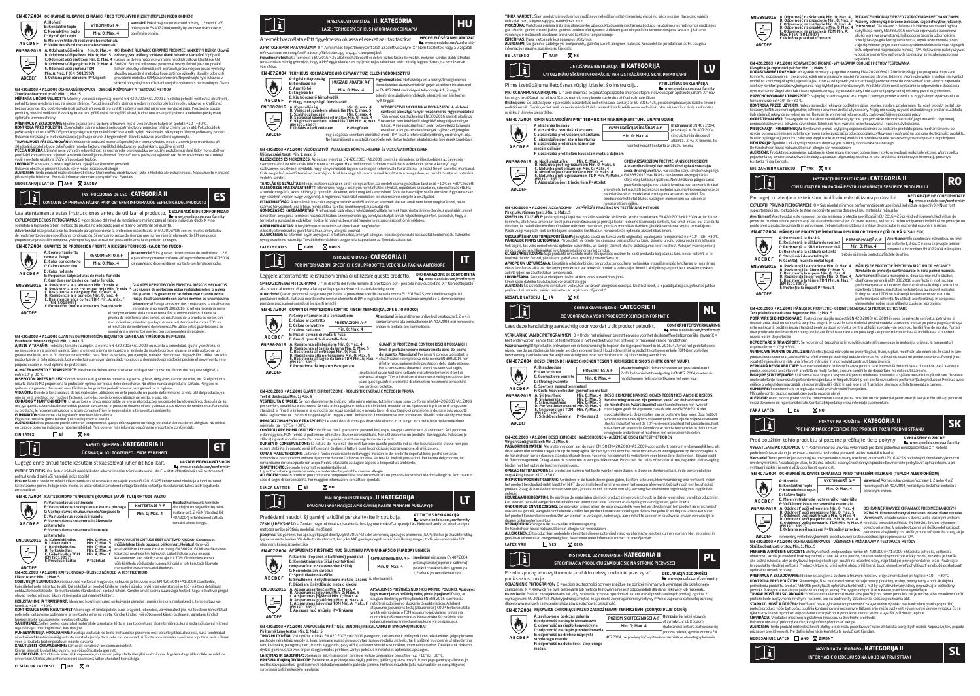## **EN 407:2004 OCHRANNÉ RUKAVICE CHRÁNÍCÍ PŘED TEPELNÝMI RIZIKY (TEPLEM NEBO OHNĚM)**

### A: Hoření<br>B: Kontaktní teolo VÝKONNOST A-F Varování! Pokud mají rukavice úroveň ochrany 1, 2 nebo X vůči hoření podle EN 407:2004, neměly by se dostat do kontaktu s  $\ddot{\bm{\theta}}$ B: Kontaktní teplo v ríkom vod A-1<br>C: Konvektivní teplo Min. 0; Max. 4 otevřeným ohněm.<br>D: Vystěriár teplo D. vyzařující teplo<br>F: Malá vystříknítí roztaveného materiálu **ABCDEF** e: malé vystříknutí roztaveného materiálu<br>F: Velké množství roztaveného materiálu F: Velké množství roztaveného materiálu **EN 388:2016** A. Odolnost vůči oděru – Min. 0; Max. 4<br>B. Odolnost vůči prořezu Min. 0; Max. 5<br>C. Odolnost vůči přetržení Min. 0; Max. 4<br>D. Odolnost vůči prořezu TDM<br>E. Odolnost vůči prořezu TDM OCHRANNE RUKAVICE CHRANICI PRED MECHANICKYMI RIZIKY. Urovné<br>ochrany jsou měřeny v oblasti dlaně rukavice. Varování! V případě<br>rukavic se dvěma nebo více vrstvami neodráží celková klasifikace EN<br>38822016 nutně výkomnost pov

c. Oddinost Vuci prorezu TDM<br>Min. A: May. F (FN ISO13997) Min. A; Max. F (EN ISO13997)<br>F. Ochrana proti nárazům P=Úspěch brovedené metodou TOM jsou referenční. Nepoužívejte tyto r<br> blizkosti nárazům P=Úspěch blizkosti pohyblivých součástí ani st **ABCDEF**

## < **EN 420:2003 + A1:2009** OCHRANNÉ RUKAVICE – OBECNÉ POŽADAVKY A TESTOVACÍ METODY

Zkouška obratnosti prstú: Min. 1; Max. 5<br>MĚŘENÍ A URČENÍ VELIKOSTI: Všechny velikosti odpovídají normě EN 420:2003+A1:2009 z hlediska pohodlí, velikosti a obratnosti,<br>pokud to není uvedeno jinak na přední stránce. Pokud je béžná rukavice, aby poskytovala lepší pohodli při použití pro zvláštní účely, například při jemné montážní práci. Používejte použe<br>produkty vhodné velikosti. Produkty, které jsou příliš volné nebo příliš těsné, budou omezo

opfmanii uroven ochrany.<br>Reference of the state of the state of the state of the state of the state of the state of the state of the state of the state of the state of the state of the state of the state of the state of th

**neobsahuje latex ano žádný**

# CONSULTE LA PRIMERA PÁGINA PARA OBTENER INFORMACIÓN ESPECÍFICA DEL PRODUCTO INSTRUCCIONES DE USO - **CATEGORÍA II ES**

Lea atentamente estas instrucciones antes de utilizar el producto. **DECLARACIÓN DE CONFORM** 

www.ejendals.com/conformity EXPLICACIÓN DE LOS PICTOGRAMAS0 = por debajo del nivel de rendimiento mínimo para el riesgo individual dado X = no

sometido a la prueba o bien método de prueba no adecuado para el diseño o material del guante.<br>**Advertencial** Este producto se ha diseñado para proporcionar la protección específicada en EU 2016/425 con los niveles detalla proporcionar protección completa, y siempre hay que actuar con precaución ante la exposición a riesgos. **EN 407:2004 GUANTES DE PROTECCIÓN FRENTE A RIESGOS TÉRMICOS (CALOR Y/O FUEGO)**

A: Comportamiento rente al fuego RENDIMIENTO A-F Advertencia! Si los guantes tienen un nivel de rendimiento 1, 2 ó X para el comportamiento frente al fuego conforme a EN 407:2004, B: Calor por contacto C: Calor convectivo D: Calor radiante Min. 0; Max. 4 los guantes no deben entrar en contacto con llamas desnudas.

**ABCDEF**

**ABCDEF**

 $\blacklozenge$ 

ettevaatlikult.

E: Pequeñas salpicaduras de metal fundido<br>F: Grandes cantidades de metal fundido<br>A. Resistencia a las abrasión Min. O: máx. 4<br>B. Resistencia a los cortes por hoja Min. O: máx. 5<br>C. Resistencia al desgarro Min. O: máx. 4<br>D. **EN 388:2016** ⋐

máx,  $A$ <br>  $\uparrow$   $\uparrow$   $\uparrow$   $\uparrow$   $\uparrow$   $\uparrow$   $\uparrow$   $\uparrow$   $\uparrow$   $\uparrow$   $\uparrow$   $\uparrow$   $\uparrow$   $\uparrow$   $\uparrow$   $\uparrow$   $\uparrow$   $\uparrow$   $\uparrow$   $\uparrow$   $\uparrow$   $\uparrow$   $\uparrow$   $\uparrow$   $\uparrow$   $\uparrow$   $\uparrow$   $\uparrow$   $\uparrow$   $\uparrow$   $\uparrow$   $\uparrow$   $\uparrow$   $\uparrow$   $\uparrow$ 

el resultado de rendimiento de referencia. No utilice estos guantes cerca de maquinaria o elementos móviles con componentes sin proteger.

## **EN 420:2003 + A1:2009** GUANTES DE PROTECCIÓN: REQUISITOS GENERALES Y MÉTODOS DE PRUEBA

Prueba de destreza digital: Mín. 1; máx. 5 **AJUSTE Y TAMAÑO:** Todos los tamaños cumplen la norma EN 420:2003+A1:2009 en cuanto a comodidad, ajuste y destreza, si no se explica en la primera página. Si en la primera página se muestra el símbolo de modelo corto, el guante es más corto que un<br>guante estándar, con el fin de mejorar el confort para fines especiales; por ejemplo, trabajo productos de la talla adecuada. Los productos que vayan demasiado holgados o demasiado apretados impedirán el movimiento y no proporcionarán el nivel óptimo de protección.

**ALMACENAMIENTO Y TRANSPORTE:** Idealmente deben almacenarse en un lugar seco y oscuro, dentro del paquete original, a

entre 10° y -30 °C.<br>**INSPECCIÓN ANTES DEL USO:** Compruebe que el guante no presente agujeros, grietas, desgarros, cambio de color, etc. Si el producto<br>resulta dañado NO proporciona la protección óptima por lo que debe dese quítese) los guantes de uno en uno. Cámbiese los guantes periódicamente para garantizar la higiene.<br>**VIDA ÚTIL:** Debido a la naturaleza de los materiales utilizados en este producto no puede determinarse la vida útil del p

que se verá afectado por muchos factores, como las condiciones de almacenamiento, el uso, etc.<br>**CUIDADOS Y MANTENIMIENTO:** El usuario es el único responsable de enviar el producto a proceso del lavado mecánico después de s su producto, le recomendamos que lo aclare con agua fría y lo seque al aire a temperatura ambiente.<br>El IMINACIÓN: Confermo a la logislación modioambiontal local.

**ELIMINATON:** Conforme a la legidación medioambiental local.<br>**Al LEAGENOS**: Este producto puede contener componentes que podían suponer un riesgo potencial de reacciones alérgicas. No utilizar<br>**ALEAGENOS**: Este producto pu

**sin látex sí no**



Lugege enne antud toote kasutamist käesolevat juhendit hoolikalt. **VASTAVUSDEKLARATSIOON** www.ejendals.com/conformity PILTIDE SELGITUS 0 = Antud inidividuaalriski kohta alla minimaalse toimivustaseme. X= Ei esitatud testimiseks või testmeetod

polnud kinda disaini või materjali jaoks sobilik!<br>**Hoiatus!** Antud toode on mõeldud kasutamiseks olukorras,kus on vajalik kaitse EU 2016/425 kehtestatud oludes ja allpool esitatud kaitsetaseme juures. Pidage siiski meele, et ükski isikukaitsevahend ei taga täielikku kaitset ja riskiolukorras tuleks alati tegutseda

### **EN 407:2004 KAITSEKINDAD TERMILISTE (KUUMUS JA/VÕI TULI) OHTUDE VASTU**

|  |                    | A: Vastupidavus süttimisele<br>B: Vastupidavus kokkupuutele kuuma pinnaga                                                          |                                                                                        | KAITSFTASF A-F | Holatus! Kui kinnaste termiliste<br>ohtude (kuumuse ja/või tule) toimi- |                                                                                                                                                                                                                                                                                                                                      |
|--|--------------------|------------------------------------------------------------------------------------------------------------------------------------|----------------------------------------------------------------------------------------|----------------|-------------------------------------------------------------------------|--------------------------------------------------------------------------------------------------------------------------------------------------------------------------------------------------------------------------------------------------------------------------------------------------------------------------------------|
|  | والي               | C: Vastupidavus õhukuumusele/sooiavoole<br>D: Vastupidavus sooiuskiireusele                                                        |                                                                                        |                | Min. 0: Max. 4                                                          | vustase on 1. 2 või X (standard EN<br>407:2004), ei tohiks need sattuda                                                                                                                                                                                                                                                              |
|  | ABCDEF             | E: Vastupidavus sulametalli väikestele<br>pritsmetele                                                                              |                                                                                        |                | kontakti lahtise leegiga.                                               |                                                                                                                                                                                                                                                                                                                                      |
|  |                    | F: Vastupidavus sulametalli suurtele<br>pritsmetele                                                                                |                                                                                        |                |                                                                         |                                                                                                                                                                                                                                                                                                                                      |
|  | <b>EN 388:2016</b> | A. Kulumiskindlus<br><b>B. Lõikekindlus</b><br>C. Rehimiskindlus<br>D. Torkekindlus<br><b>F. Löjkekindlus TDM</b><br>(FN ISO13997) | Min. 0: Max. 4<br>Min. 0: Max. 5<br>Min. 0: Max. 4<br>Min. 0: Max. 4<br>Min. A: Max. F |                |                                                                         | MEHAANILISTE OHTUDE EEST KAITSVAD KINDAD. Kaitsetaset<br>möödetakse kinda peopesa piirkonnast. Hojatus! Kahe- või<br>enamakihiliste kinnaste korral ei pruugi EN 388:2016 üldklassifikatsioo<br>kajastada pealmise kihi toimivust. Lõikekindluse puhul on coop<br>katsetulemus vaid näitlik, samal aial kui TDM lõikekindluse katset |
|  |                    | F. Pörutuse kaitse                                                                                                                 | P=Lähitud                                                                              |                |                                                                         | . 23. Historia de Albert estadounidense e como Mardold el Antol Leger de de Ministerio                                                                                                                                                                                                                                               |

**EUSE Torical Transformation**<br> **E. Collection during the Mark All Scheduler**<br> **E. Collection dus TDM Min. At Hax. F** existed pealme laht tomstee to like the street performance last energy of the ISO 19997)<br> **ARCORE PER A** 

**Liikuvustet: Min. 1; Hax. 5**<br>**SOBNUS JA SUURUSED:** Kõik suurused vastavad mugavuse, sobivuse ja liikuvuse osas EN 420:2003+A1:2009 standardile,<br>kui esliehel pole märgitud teisiti. Kui esiküljel on toodud ühikese mudeli sü

olevad tooted piiravad liikumist ja ei paku optimaalset kaitset.<br>**HOIUSTAMINE JA TRANSPORT:** Ideaalsed hoiutingimused on kuivas ja pimedas ruumis ning originaalpakendis, temperatuurivahemikus +10º - +30ºC. **KONTROLLIGE ENNE KASUTAMIST:** Veenduge, et kindal poleks auke, pragusid, rebendeid, värvimuutust jne. Kui toode on kahjustatud

pole selle laitoteinine optimaline ja see tuleis minema visata. Kandie kindaid (või võtke need käest) ükshasval Vahetage kindad<br>Tolgeemilisels kasutamiseks regulaarelt välja.<br>Põljust Talja (kasuta toote kasutatud mareljail

**KASUTUSELT KÖRVALDAHINE** Lähtuvalt kohalkest keskkonnanöuetest.<br>**Kinnas sisaldab looduslikku kunmi,** mis võlb põhjustada alkegiat.<br>**ALLERGEENID:** Annut otode sisaldab komponente, mis võlvad põhjustada alkegilsi reaktsioon



modszer nem volt megtelelo a kesztyu kivitele vagy anyaga szempontjabol<br>Figyelmeztetés! Ezt a terméketa EU 2015/425 által meghatározott védelen biztosítására tervezték, melynek szintjei alább láthatók.<br>Arra azonban mindig van kitéve.

### **EN 407:2004 TERMIKUS KOCKÁZATOK (HŐ ÉS/VAGY TŰZ) ELLENI VÉDŐKESZTYŰ**



## **EN 420:2003 + A1:2009** VÉDŐKESZTYŰ – ÁLTALÁNOS KÖVETELMÉNYEK ÉS VIZSGÁLATI MÓDSZEREK

Ujjügyességi teszt: Min. 1; max. 5 **ILLESZKEDÉS ÉS MÉRETEZÉS:** Az összes méret az EN 420:2003+A1:2009 szerinti a kényelem, az illeszkedés és az ügyesség szempontjából, ha nincs más feltüntetve a címlapon. Ha a rövid modeli szimbóluma látható a címlapon, akkor a kesztyű egy<br>szabványos kesztyűnél rövidebb, hogy kényelmesebb legyen különleges célokra való használatnál – példá

vekenti szintet.<br>1990-ben szerint a folyalóg szerben szára: és sötét kömpexetben, az eredeti csomagolásában tárolandó +10°C és<br>1990-ben szerint a folyalóg szerben számára között első területek a folyalóg a folyalóg a folya

**ÁRTALMATLANÍTÁS:** A helyi környezetvédelmi szabályozásnak megfelelően.<br>A kesztvű természetes eumit tartalmaz, amely allerelát okozhat

A kesztyű természetes gumit tartalmaz, amely allergiat okozhat<br>**ALLERGÉNEK:** Ez a termék olyan anyagokat is tartalmazhat, amelyek allergiás reakciók potenciális kockázatát hordozhatják. Túlérzéke<br>nység esetén ne használja.



Leggere attentamente le istruzioni prima di utilizzare questo prodotto. **DICHIARAZIONE DI CONFORMITÀ** www.ejendals.com/conformity SPIEGAZIONE DEI PITTOGRAMMI 0 = Al di sotto del livello minimo di prestazioni per il pericolo individuale dato X= Non sottoposto

alla prova o al metodo di prova adatto per la progettazione o il materiale del guanto<br>Attendionel Questo prodotto è progettato perfornite la protezione specificata nella norma EU 2016/425, con i Ivelli dettagliati di<br>prest

### **EN 407:2004 GUANTI DI PROTEZIONE CONTRO RISCHI TERMICI (CALORE E / O FUOCO)**

|               | A: Comportamento alla combustione                                                                                                         |                | Attenzione! Se i guanti hanno un livello di prestazione 1, 2 o X in<br>comportamento alla combustione in EN 407:2004, essi non devono                                                 |  |
|---------------|-------------------------------------------------------------------------------------------------------------------------------------------|----------------|---------------------------------------------------------------------------------------------------------------------------------------------------------------------------------------|--|
| Ò             | B: Calore al contatto<br>PRESTAZIONI A-F<br>C: Calore convettivo                                                                          |                |                                                                                                                                                                                       |  |
|               | D: Calore radiante                                                                                                                        | Min. 0: Max. 4 | entrare in contatto con fiamme libere.                                                                                                                                                |  |
| <b>ABCDEF</b> | E: Piccoli spruzzi di metallo fuso<br>F: Grandi quantità di metallo fuso                                                                  |                |                                                                                                                                                                                       |  |
| EN 388:2016   | A. Resistenza all'abrasione Min. 0; Max. 4<br>B. Resistenza al taglio da lama Min. O: Max. 5<br>C. Resistenza allo strappo Min. O; Max. 4 |                | GUANTI DI PROTEZIONE CONTRO I RISCHI MECCANICI. I<br>livelli di protezione sono misurati nella zona del palmo<br>del accounts. Attravelencel Day Lacranti anni di ci a cili, stand la |  |

B. Resistenza al taglio da Iama Min. O; Max. 5<br>C. Resistenza allo strappo Min. O; Max. 4<br>D. Resistenza alla perforazione Min. O; Max. 4<br>E. Resistenza al taglio da Iama TDM Min. A; Max. F<br>(EN ISO13997)<br>F. Protezione da impa livelli di protezione sono misurati nella zona del palmo<br>del guanto. Attenzione! Per i guanti con due o più strati la<br>classificazione complessiva della norma EN 386:2016 non<br>riflette necessariamente le prestazioni dello st (그나 Per la smussatura durante il test di resistenza al taglio, i risultati del coupe test sono soltanto indicativi solo mentre il test di resistenza al taglio TDM è il risultato di riferimento della prestazione. Non **ABCDEF** usare questi guanti in prossimità di elementi in movimento o macchine con parti non protette.

## **EN 420:2003 + A1:2009** GUANTI DI PROTEZIONE - REQUISITI GENERALI E METODI DI PROVA

T**est di destrezza: Min. 1: Max. 5**<br>**VESTIBILITÀ E TAGLIE: S**e non diversamente indicato nella prima pagina, tutte le misure sono conformi alla EN 4202003+A1:2009<br>per comfort, vestibilità è destrezza. Se sula prima pagina della taglia corretta. I prodotti troppo larghi o troppo stretti limiteranno il movimento e non forniranno il livello ottimale di protezione. **IMMAGAZZINAMENTO E TRASPORTO:** Le condizioni di immagazzinato ideali sono in un luogo asciutto e buio nella confezione originale, tra +10ºC e +30ºC.

**CONTROLLARE PRIMA DELL'USO:** Verificare che il guanto non presenti fori, crepe, strappi, cambiamenti di colore ecc. Se il prodotto è danneggiato, NON fornirà la protezione ottimale e deve essere sostituito. Non utilizzare mai un prodotto danneggiato. Indossare (o e danneggiato, i volvi tornira la protezione ottimale e deve essere sostituito, ivon d'ulizzare<br>sfilarsi) i guanti uno alla volta. Per un utilizzo igienico, sostituire regolarmente i guanti.

**DURATA DI CONSERVAZIONE:** La natura dei materiali che costituiscono questo prodotto indica che la durata dello stesso non può<br>essere stabilita, in quanto verrà influenzata da diversi fattori, quali le condizioni di conser

**CURA E MANUTENZIONE:** L'utente è l'unico responsabile del lavaggio meccanico del prodotto dopo l'utilizzo, poiché sostanze sconosciute possono contaminare il prodotto durante l'utilizzo e incidere sui relativi livelli di prestazioni. Per la cura del prodotto, raccomoscace, possono comanimira e inproducto diamato con acqua e include sun e lastini nocini di<br>comandiamo di risciarquarlo con acqua fredda e lasciarlo asciugare appeso a temperatura a<br>**SMALTIMENTO**: Secondo le normative a

**SMALTIMENTO:** Secondo le normative ambiental locali.<br>**ALLERGEN:** Questo prodotto può contenere componenti che possono costituire un potenziale rischio di reazioni allergiche. Non usare in<br>**ALLERGEN:** Questo prodotto può c

**senza lattice sì no**

**ABCDEF**



 www.ejendals.com/conformity ŽENKLŲ REIKŠMĖSO = Žemiau, negu minimalus charakteristikos lygmuo konkrečiam pavojui X= Nebuvo bandytas arba bandymo metodas netiko pirštinių modeliui, medžiagai

įspėjimas! Šis gaminys turi apsaugoti pagal direktyvą EU 2016/425 dėl asmeninių apsaugos priemonių (AAP), tikslius jo charakteristikų masi ais gaminys iun apsaugou pagarunektyvą ču 2016/425 derasinėminų apsaugos priemonių (AAP), uksinas jo chalakteri<br>Inis rasite žemiau. Vis dėlto turite atsiminti, kad joks AAP gaminys negali suteikti visiškos apsaugos, t atsargiam, kai egzistuoja rizika.

|                    | EN 407:2004 APSAUGINĖS PIRŠTINĖS NUO ŠILUMINIU PAVOIU (KARŠČIO IR(ARBA) UGNIES)                                                                     |                                                                                                                                                                                               |                                                                                                                                                                                                                                                                                                   |
|--------------------|-----------------------------------------------------------------------------------------------------------------------------------------------------|-----------------------------------------------------------------------------------------------------------------------------------------------------------------------------------------------|---------------------------------------------------------------------------------------------------------------------------------------------------------------------------------------------------------------------------------------------------------------------------------------------------|
|                    | A: Karščio (liepsnos ir kaitinimo) poveikiui<br>B: Kontaktiniam karščiui (kontaktinei                                                               | <b>CHARAKTERISTIKA A-F</b>                                                                                                                                                                    | jspėjimas! Jeigu pagal EN 407:2004<br>pirštiniu karščio (liepsnos ir kaitinimo)                                                                                                                                                                                                                   |
| Ò                  | temperatūrai ir skausmo slenksčiui)<br>C: Konvekciniam karščiui                                                                                     | Min. 0: Max. 4                                                                                                                                                                                | poveikiui charakteristikos Ivemuo vra                                                                                                                                                                                                                                                             |
| ABCDEF             | D: Spinduliavimo karščiui<br>E: Smulkiems išsilvdžiusiems metalo lašams<br>F: Dideliam išsilvdžiusio metalo kiekiui                                 | 1.2 arba X. ios neturi kontaktuoti<br>su atvira uenimi.                                                                                                                                       |                                                                                                                                                                                                                                                                                                   |
| <b>EN 388:2016</b> | A. Atsparumas trinčiai Min. 0; Maks. 4<br>B. Atsparumas ipiovimui Min. 0: Maks. 5                                                                   |                                                                                                                                                                                               | APSAUGINĖS PIRŠTINĖS NUO MECHANINIO POVEIKIO. Apsaugos                                                                                                                                                                                                                                            |
| 속                  | C. Atsparumas plyšimui Min. O; Maks. 4<br>D. Atsparumas pradūrimui Min. 0; Maks. 4<br>E. Atsparumas ipiovimui TDM Min. A: Maks. F.<br>(EN ISO13997) | Iveis matuojamas pirštiniu delnu plote, ispėlimas! Dvieju ar<br>daugiau sluoksniu pirštiniu bendra EN 388:2016 klasifikacija<br>nebütinai rodo išorinio sluoksnio charakteristikas. Atliekant |                                                                                                                                                                                                                                                                                                   |
|                    | F. Apsauga nuó smūgiu, P=Tinkama                                                                                                                    |                                                                                                                                                                                               | atsparumo ipiovimams testa (atbukinimas). COUP testo rezultataj<br>the contract of the contract of the contract of the contract of the contract of the contract of the contract of the contract of the contract of the contract of the contract of the contract of the contract of the contract o |

B. Atsparumas įpjovimui Min. 0; Maks. 5<br>C. Atsparumas plyšimui Min. 0; Maks. 4<br>D. Atsparumas pradūrimui Min. 0; Maks. 4<br>E. Atsparumas įpjovimui TDM Min. A; Maks. F<br>K. Apsauga nuo smūgių, P=Tinkama atsparumo įpjovimams testą (atbukinimas), COUP testo rezultatai yra tik orientaciniai, o TDM atsparumo įpjovimams testas yra nuorodinis našumo rezultatas. Nenaudokite šių pirštinių prie judančių įrengimų ar mechanizmų, kurie yra be apsaugos.<br>**EN 420:2003 + A1:2009** APSAUGINĖS PIRŠTINĖS. BENDRIEJI REIKALAVIMAI IR BANDYMŲ METODAI

Pirštų miklumo testas: Min. 1; Maks. 5

P**irštų miklumo testas: Min. 1; Maks. 5**<br>**TINKAMI DYDŽIAI:** Visi dydžiai atitinka EN 420:2003+A1:2009 patogumo, tinkamumo ir pirštų miklumo reikalavimus, jeigu pirmame puslapyje nėra kitaip nurodyta. Jeigu pirmame puslapyje nurodytas trumpo modelio simbolis, tai ši pirštinė trumpesnė už standartinę tam, kad teiktų patogumą tam tikromis sąlygomis, pavyzdžiui, atliekant smulkius surinkimo, montavimo darbus. Dėvėkite tik tinkamo<br>dydžio gaminius. Laisvos ar per daug įtemptos pirštinės varžys judesius ir nesuteiks optimal

**LAIKYMAS IR GABENIMAS:** Geriausia laikyti sausoje ir tansioje vietoje originalioje pakuotėje nuo +10° iki +30° C.<br>**PRIEŠ NAUDOJIMĄ TIKRINKITE:** Patkrinkite, ar pirštinėje nėra skylių, įtrūkimų, piešimų, spalvos pokyčių rp

**TINKA NAUDOTI:** Šiam produktui naudojamos medžiagos neleidžia nustatyti gaminio galiojimo laiko, nes jam įtaką daro įvairūs

veiksniai, pvz., laikymo sąlygos, naudojimas ir t. t.<br>**PRIEŽIŪRA:** Vartotojas prislima išskirtinę atsakomybę už produkto plovimą mechaniniu būdu po naudojimo, nes nežinomos medžiagos<br>gali užteršti gaminį ir turėti įtakos g iztersu ganinų ir tureti įtakos ganinilo veikinio elektyvumu. Atlieka<br>lenyje ir išdžiovinti pakabinus ant virvės kambario temperatūroje.

**ISMETIMAS:** Pagal vietos aplinkos apsaugos įstatymus.<br>**ALERGENI**AI: Šio gaminio sudėtyje yra komponentų, galinčių sukelti alergines reakcijas. Nenaudokite, jei oda labai jautri. Daugiau<br>Informacijos gausite, susisiekę su

## **be LATEKSO THE NE**



Pirms izstrādājuma lietošanas rūpīgi izlasiet šo instrukciju. **ATBILSTĪBAS DEKL**<br>ATBILSTĪBAS DEKLARĀCIJA www.ejendals.com/conformity<br>fividuālaiam andraudējumam X= na PIKTOGRAMMU SKAIDROJUMS 0 = zem minimālā ekspluatācijas īpašību līmeņa dotajam in iesniegts testesanai, vai arī testesanas metode nav piemērota cimdu uzbuvei vai materiālām.<br>**Brīdinājums!** Šis izstrādājums ir paredzēts aizsardzības nodrošināšanai saskaņā ar EU 2016/425, precīzi ekspluatācijas īpašību lī

norādīti zemāk. Tomēr ņemiet vērā, ka neviens individuālās aizsardzības līdzeklis nevar nodrošināt pilnu aizsardzību, tādēļ, saskaroties ar risku, ir jāievēro piesardzība.<br>Traksku, ir jāievēro piesardzība.<br>FN 407-2004. CIMDI AIZSARDZĪBAI PRET TERMISKIEM RISKIEM (KARSTUMU UN/VAI UGUNI)





zonā. Brīdinājums! Divu vai vairāku slāņu cimdiem vispārīgā EN 388:2016 klasifikācija ne vienmēr atspoguļo ārējā slāņa ekspluatācijas īpašības. Notrulināšanai pārgriešanas pretošanās spējas testa laikā, izturības testa rezultāti ir tikai orientējoši, bet rezultāti testēšanas metodei auduma triecienpārgriešanas pretošanāsspējas noteikšanai ir snieguma atsauces rezultāti. Šos cimdus nedrīkst lietot blakus kustīgiem elementiem vai ierīcēm ar

A. Odporność na przecięcie Min. 0; Max. 4<br>B. Odporność na przecięcie Min. 0; Max. 5<br>C. Odporność na rozdarcie Min. 0; Max. 4<br>D. Odporność na przecięcia TDM Min. A;<br>K. P. (EN ISO1.3997)<br>K. Max. 4<br>F. Ochrona przed uderzeniem

**EN 388:2016**

写

**ABCDEF**

kontakt z firmą Fiendals.<br>Ikontakt z firmą Fienda

 $\tilde{\mathbf{i}}$ 

**ABCDEF**

 $\bigcirc$ 

**EN 388:2016**

**ABCDEF**

専

nivelul optim de protecţie.

**fără latex da nu**

vystavení rizikám je nutné vždy dodržiavať opatrnosť. A: Horenie<br>B: Kontaktné tenlo

D: Sálavé teplo

**ABCDEF**

 $\bigcirc$ 

 $\gamma_{\rm i}$ 

**EN 388:2016**

li.

**nie zawiera lateksu tak nie**

A: Rezistență la flacără<br>B: Rezistență la căldura de contac<br>C: Rezistență la căldură radiantă<br>D: Rezistență la căldură radiantă E: Stropi mici de metal topit F: Cantități mari de metal topit<br>A. Rezistentă la abraziune Min. O: Max. 4<br>B. Rezistentă la tăiere Min. O: Max. 5<br>C. Rezistentă la nupere Min. O: Max. 4<br>D. Rezistentă la perforație Min. O: Max. 4<br>E. Rezistentă la perforați

częściami. **EN 420:2003 + A1:2009** RĘKAWICE OCHRONNE – WYMAGANIA OGÓLNE I METODY TESTOWANIA

Klasyfikacja zvęzności paków: Mm. 1. Maks. 5<br>komfortu, dopasowania i zwęzności, jeksinis. Spacja za zapoństwa spacja z możle polskiego wymagania dotyczące<br>komfortu, dopasowania i zwęzności, jeksinie wyjaśniono naczej na je **PRZECHOWYWANIE I TRANSPORT:** Najlepiej przechowywać w suchym i ciemnym pomieszczeniu, w oryginalnym opakowaniu, w temperaturze od +10° do +30 °C.<br>**KONTROLA PRZED UŻYCIEM:** Należy sprawdzić rękawicę pod kątem dziur, pęknięć, rozdarć, przebarwień itp. Jeżeli produkt został usz kodzony, to NIE zapewni optymalnej ochrony i powinien zostać utylizowany. Nigdy nie należy używać uszkodzonego produktu. Zakładaj<br>(lub zdejmuj) rękawice po jednej na raz. Regularnie wymieniaj rękawice, aby zachować higienę **OKRES TRWAŁOŚCI:** Ze względu na charakter materiałów użytych w tym produkcie nie można ustalić jego trwałości użytkowej, ponieważ znawodzania se wagięcu na charakter materialow użytych w tym produkce nie można ustanie jego uwanisch użytkowej.<br>ponieważ zależy ona od wielu czynników, takich jak m.in. warunki przechowywania i sposób użytkowania **PIELĘGNACJA I KONSERWACJA:** Uzytkownik ponosi wyłączną odpowiedzialność za poddanie produktu praniu mechanicznemu po<br>użyciu, ponieważ nieznane substancje mogą zanieczyszczać produkt podczas użytkowania i wpływać na poziom UTYLIZAQ AZ čegorine z lokanym przepisami otojczącymi otoriony środowiska naturalnego.<br>De handschoen bewat naturirubber dat allergie kon veroorzaken<br>**ALERGEW**Y: Produkt może zawierać substancje, które mogą stanowić potencj

CONSULTAŢI PRIMA PAGINĂ PENTRU INFORMAŢII SPECIFICE PRODUSULUI

PERFORMANŢĂ A-F Min. 0; Max. 4 **EN 407:2004** MANUSI DE PROTECTIE IMPOTRIVA RISCURIUDR TERMICE (CALDURA SU'SAU FOC)<br>
A: Rezistență la făcătă<br>
B: Rezistență la făloără<br>
B: Rezistență la căldură convertivă <u>| Min. D: Max. 4</u> | de protecție 1,2 sau Xin car

**EN 4202003 + A1:2009 MÅNUSI DE PROTECTIE - CERINȚE GENERALE ȘI METODE DE TESTARE**<br>TERT INVIVIA CONSTANTANTO DE PROTECTIE - CERINȚE GENERALE ȘI METODE DE TESTARE<br>POTRUVIRE ȘI DIMENSIONARIE: Toate dimensionile respecta EN 4

copinne hinte - 10° ji - 19°C ju zapad: Venicezi dos minorelem preoxida gást finst notoch modifican ale cubri etc. In caradin care<br>Venir CARE (Market De Ural Market Market Production complete international function of the

gijki de produzui damnewoastik vik recomandâm ski ĉistiri în api ece și sil tucarji pe silima de rufe la temperatura camerel.<br>**KLIMINARE:** În conformitate cu legislația locală privind mediul încoripatior.<br>**ALERIGEN**: Arces

Pred použitím tohto produktu si pozorne prečítajte tieto pokyny. **VYHLASENIE O ZHODE**<br>
www.ejendals.com/conformity VYSVETLENIE PIKTOGRAMOV 0 = Pod minimálnou úrovňou výkonnosti pre dané jednotlivé nebezpečenstvo X = Nebolo

-**Varovanie**l Tento produkt je navrhnutý na poskytovanie ochrany uvedenej v norme EU 2016/425 s podrobnými úrovňami výkonnosti<br>uvedenými nížšie. Nezabúdajte však, že žiadna položka osobných ochranných prostriedkov nemôže p

**MERANIE A URCENE VECKOSTE** Vietnich program zapovedajú norme EN 4202003-1412003 z hľadista pohodila, veľkosti a<br>dosamosti, ak nie je uvedené hak na prednej stane. Ak je na prednej strane uvedený symbol pre krátky model, n **PREPRAVA A SKLADOVANIE:** Ideálne skladujte na suchom a tmavom mieste v originálnom balení pri teplote +10 – +30 ºC. **KONTROLA PRED POUŽITIK**: Slomatoljice, či sa na udavid nerazladizajú otvory postávy, tribiny, zmeny farity spol<br>poštodeniu produktu produkt NEBUDE postyrovať optimální turichosť a mal by byť zlikvidovaný. Nikdy repozibuje týka starostlivosti o produkt, odporúčame vám opláchnuť produkt studenou vodou a vysušiť pri izbovej teplote.

Rukavice obsahujú prírodný kaučuk, ktorý môže spôsobovať alergie<br>**ALERGÉNY:** Tento produkt môže obsahovať zložky, ktoré môžu predstavovať riziko z hľadiska alergických reakcií. Nepoužívajte v prípade

INFORMACIJE O IZDELKU SO NA VOLJO NA PRVI STRANI

NAVODILA ZA UPORABO - **KATEGORIJA II SL**

**EN 407:2004 OCHRANNÉ RUKAVICE CHRÁNIACE PRED TEPELNÝMI RIZIKAMI (TEPLOM ALEBO OHŇOM)**

podrobené testu alebo je testovacia metóda nevhodná pre návrh alebo materiál rukavice

o: salave teplo<br>E: Malé vystreknutie roztaveného materiálu<br>E: Veľké množstvo roztaveného materiálu F: Veľké množstvo roztaveného materiálu<br>A. Odolnosť voči odreninám Min. 0; Max. 4<br>B. Odolnosť voči prerezaniu Min. 0; Max. 4<br>C. Odolnosť voči roztrhnutiu Min. 0; Max. 4<br>D. Odolnosť voči prepichnutiu Min. 0; Max. 4<br>E. Odoln

**LIKVIDÁCIA:** V súlade s miestnou legislatívou týkajúcou sa životného prostredia.

príznakov precitlivenosti. Pre ďalšie informácie kontaktujte spoločnosť Ejendals. **neobsahuje latex áno žiadny**

B: Kontaktné teplo<br>C: Konvektívne teplo Min. 0; Max. 4 by otvoreným ohňom.

referenčný výsledok výkonnosti predstavovaný skúškou odolnosti proti prerezaniu TDM. **ABCDEF**

EN 420:2003 + A1:2009 OCHRANNE RUKAVICE - VSEOBECNE POŽIADAVKY A TESTOVACIE METODY<br>Skúška obratnosti prstov: Min. 1; Max. 5

POKYNY NA POUŽITIE - **KATEGORIA II**<br>PRE INFORMÁCIE ŠPECIFICKÉ PRE PRODUKT POZRI PREDNÚ STRANU

VÝKONNOSŤ A-F Varovanie! Ak majú rukavice úroveň ochrany 1, 2 alebo X voči<br>horeniu podľa EN 407:2004, nemali by sa dostať do kontaktu s

OCHRANNE RUKAVICE CHRANIACE PRED MECHANICKYMI<br>RIZIKAML Úrovne ochrany sú merané v oblasti dlane rukavice.<br>Varovaniel V prípade rukavic s dvoma alebo vlacerými vrstvami<br>neodráža celková klasifikácia EN 388:2016 nutne výkonn

**DEPOZITARE ȘI TRANSPORT:** Se recomandă depozitarea în condiții uscate și întunecoase în ambalajul original, la tem

Parcurgeţi cu atenţie aceste instrucţiuni înainte de utilizarea produsului. **DECLARAŢIE DE CONFORMITATE** www.ejendas.com/conformity/<br>FXPLICATILPRICATIOR DICTOGRAMELE () = Sub pixal d minim de performantă pentru periodul individual recnectiv X= Mu a foct EXPLICAȚII PRIVIND PICTOGRAMELE 0 = Sub nivelul minim de performanță pentru pericolul individual respectiv X= Nu a fost<br>supus testului sau metodei de testare nepotrivite pentru design-ul sau materialul mărușilor<br>Avertismen protecție, cu nivelurile de performanță detaliate indicate mai jos. Cu toate acestea, rețineți că niciun echipament individual de protecție nu<br>poate oferi o protecție completă și, prin urmare, trebuie luate întotdeauna măs

INSTRUCŢIUNI DE UTILIZARE - **CATEGORIA II RO**

MANUS) DE PROTECTIE IMPOTRIVA RISCURILOR MECANICE.<br>Nivelurile de protectie sunt măsurate în zona palmei mănușii.<br>Avertismenti În cazul mănușilor cu două sau mai multe straturi.<br>clasificarea generală a BN 3862.016 nu reflec

performanți<br>în timp ce testul TDM de rezistența ra ranov competență.<br>performanță de referință. Nu utilizați aceste mă

RĘKAWICE CHRONIĄCE PRZED ZAGROZENIAMI MECHANICZNYMI.<br>Pożiomy ochrony są mierzone z obszaru części chwytnej rękawicy.<br>Ostrzeżeniel Dla rękawicz dwiema lub kilkoma warstwami ogólna<br>klasyfikacja normy EN 388:2016 nie musi odp jakości warstwy zewnętrznej. Jeśli podczas badania odporności na przecięcia wystąpi efekt tępienia ostrza, wynik testu metodą "Coup"<br>staje się orientacyjnym, natomiast wynikiem odniesienia staje się wynik<br>testu odporności na przecięcia metodą TDM. Rękawic nie należy używać w pobliżu elementów ruchomych lub maszyn z niezabezpieczonymi

Waarschuwing! Als de handschoenen een prestatieniveau 1, 2 of X hebben in het brandgedrag in EN 407: 2004, moeten de handschoenen niet in contact komen met open vuur.

BESCHERMENDE HANDSCHOENEN TEGEN MECHANISCHE RISICO'S.<br>Beschermingsmixeaux zijn gemeten vanaf van de handpalm van<br>de handschoen. Waarschuwing I Voor handschoenen met twee of<br>meer lagen geef de algemene classificatie van EN is dat dient als referentie. Gebruik deze handschoenen niet in de buurt van

## neaizsargātām daļām. **EN 420:2003 + A1:2009** AIZSARGCIMDI - VISPĀRĪGĀS PRASĪBAS UN TESTĒŠANAS METODES

Pirkstu kustīguma tests: Min. 1; Maks. 5 **IZMĒRI UN TO IZVĒLE:** Ja vien pirmajā lapā nav norādīts savādāk, visi izmēri atbilst standartam EN 420:2003+A1:2009 attiecībā uz komfortu, atbilstoša izmēra un kustīguma nodrošināšanu. Ja pirmajā lapā ir redzams īsa modeļa simbols, tad cimdi ir īsāki par standarta<br>cimdiem, lai palielinātu komfortu īpašiem mērķiem, piemēram, precīzas montāžas darbiem

Pärkkvaljel va pärki deli kartadijami ieroekos kustikas un nenotoisilas optimälo aisardibas liineni.<br>**1920. ABÄSANA UN TRANSPORTEŠANA:** Jäzepilais suusi un tunnis vielä originilaja lepakojumä, temperatürä no +10° lidz<br>**PÄR** 

ietekmē daudzi faktori, piemēram, glabāšanas apstākļi, izmantošana utt. **APKOPE UN UZTURĒŠANA:** Lietotājs ir pilnībā atbildīgs par produkta nodošanu mehāniskai mazgāšanai pēc lietošanas, jo nezināmas

vielas lietošanas laikā var piesārņot produktu un var ietekmēt produkta veiktspējas līmeni. Lai rūpētos par produktu, iesakām to skalot aukstā ūdenī un žāvēt istabas temperatūrā.<br>Noteik ūdenī un žāvēt istabas temperatūrā.

auksta genimai zavecistābas temperātura.<br>**LIKVIDĒŠANA:** Saskaņā ar vietējiem tiesību aktiem vides aizsardzības jomā.<br>Cīmds satur dabisko kaučuku kas var izraisīt alerģiju.

Cimds satur dabisko kaučuku, kas var izraisīt alerģiju **ALERGĒNI:** Šis izstrādājums var saturēt vielas, kas var izraisīt alerģiskas reakcijas. Nedrīkst lietot, ja ir parādījušās paaugstinātas jutības pazīmes. Lai uzzinātu vairāk, sazinieties ar uzņēmumu "Ejendals".

## **nesatur lateksu jā nē**

A: Brandgedrag B: Contacthitte C: Convectieve warmte D: Stralingswarmte e: enamigermoniste<br>E: Spetters gesmolten metaal<br>E: Grote hoeveelheden gesmolten metaal A B C D E F  $\epsilon$  Crote hoeveelheden gesmolten metaal<br>  $\pi$  388:2016 A. Siljusestrand Min. 0; Max. 4 E<br>  $\epsilon$  5. Siljusestrand Min. 0; Max. 4 E<br>  $\epsilon$  5. Siljusestrand Min. 0; Max. 4 d<br>  $\epsilon$  5. Siljusestrand TDM Min. 0; Max.

bieden niet het optimale beschermingsniveau.

drogen bij kamertemperatuur.<br>VERWIJDERING: Volgens de plaatselijke milieuwetgeving.

A: zachowanie podczas palenia B: odporność na ciepło kontaktowe C: odporność na ciepło konwekcyjne D: odporność na ciepło promieniowania

sporność na drośne rozprysia:<br>ilonego metalu<br>iloorność na duże ilości stopionego

**latex vrij yes geen**

metalu

poniższe instrukcje.

 $\mathbb{H}$ 

**ABCDEF**

 $\hat{\mathbf{C}}$ 

**EN 388:2016**

 $\bullet$ 

**ABCDEF**



Lees deze handleiding aandachtig door voordat u dit product gebruikt. **CONFORMITEITSVERKLARING** www.ejendals.com/conformity VERKLARING VAN DE PICTOGRAMMEN 0 = Onder het minimum prestatieniveau voor het desbetreffend afzonderlijke gevaar X =

Niet onderworpen aan de test of testmethode is niet geschikt voor het ontwerp of materiaal van de handschoen<br>**Waarschuwing!** Dit product is ontworpen om de bescherming te bepalen die is gespecificeerd in EU 2016/425 met he niveau van de prestaties die hieronder worden gepresenteerd. Houd echter altijd in gedachte dat geen enkele PBM-item volledige<br>bescherming kan bieden en dat altijd voorzichtigheid moet worden betracht bij blootstelling aan

PRESTATIES A-F Min. 0; Max. 4 **EN 407:2004 BESCHERMENDE HANDSCHOENEN TEGEN THERMISCHE RISICO'S (HITTE EN/OF VUUR)**

bewegende onderdelen of machines met onbeschermde delen.<br>**EN 420:2003 + A1:2009** BESCHERMENDE HANDSCHOENEN - ALGEMENE EISEN EN TESTMETHODEN

oeden met net oponiale beschen ingsnivead.<br>**OPSLAG EN TRANSPORT:** De producten kunnen het beste worden opgeslagen in droge en donkere plaats, in de oorsc verpakking tussen +10°- +30°C. **INSPECTIE VOOR HET GEBRUIK:** Controleer of de handschoen geen gaten, barsten, scheuren, kleurverandering enz. vertoont. Indien het product beschadigt naakt, biedt het NIET de optimale bescherming en moet het worden afgevoerd. Gebruik nooi<br>produit. Draag de handschoenen een voor een, (en doe ze ook een voor een uit). Vervang handschoenen regelmatig kan worden bepaald aangezien deze beïnvloed wordt door vele factoren zoals opstagonstandigheden, gebruik enz.<br>**ONDERHOUD EN VERZORGING**: De gebruiker draagt alleen de verantwoordelijk voor het verstrekken van het product a

V**ingervaardigheidstest: Min. 1; Max. 5**<br>**PASVORM EN MATEN:** Alle maten voldoen aan de norm EN ISO EN 420:2003+A1:2009 voor comfort, pasvorm en beweeglijkheid, als<br>deze zaken niet worden toegelicht op de voorpagina. Als he bij fijn montagewerk. Draag alleen de producten in een geschikte maat. Producten die te los of te strak zitten, beperken de beweging

**VERMIJDERNING:** Volgens de plaatselijke milieuwetgeving.<br>De handschoen bevat natuurubber dat allergie kan veroorzaken<br>**ALLERGENEN:** Dit product kan onderdelen bevatten die een potentieel risico op allergische reacties kun

Przed rozpoczęciem użytkowania produktu należy dokładnie przeczytać **DEKLARACJA ZGODNOŚCI**

**EN 407:2004 RĘKAWICE CHRONIĄCE PRZED ZAGROŻENIAMI TERMICZNYMI (GORĄCO I/LUB OGIEŃ)**

 www.ejendals.com/conformity OBJAŚNIENIE PIKTOGRAMÓW0 = poziom skuteczności ochrony znajduje się poniżej minimalnych wymagań dla określonego zagrożenia. X = rękawica nie była testowana lub metoda testowania nie jest odpowiednia dla danej rękawicy lub materiału.<br>**Ostrzeżenie!** Produkt zaprojektowano tak, aby zapewniał ochronę o poziomach skuteczności przedstawio wymaganiami EU 2016/425. Należy jednak pamiętać, że zgodność z wymaganiami dyrektywy PPE nie zapewnia całkowitej ochrony, dlatego w warunkach zagrożenia należy zawsze zachować ostrożność.

**INSTRUKCJE UŻYTKOWANIA - KATEGORIA II III PLUS**<br>SPECYFIKACJA PRODUKTU ZNAJDUJE SIĘ NA STRONIE PIERWSZEJ

podczas palenia, zgodnie z normę EN internowania<br>E: odporność na drobne rozpryski data zaprzenia, na powinny być wystawiane na działanie otwartego płomienia.<br>stopionego metalu

POZIOM SKUTECZNOŚCI A-F Min. 0; Max. 4

Ostrzeżenie! Jeżeli rękawice otrzymały 1, 2 lub X poziom skuteczności testu na zachowanie się